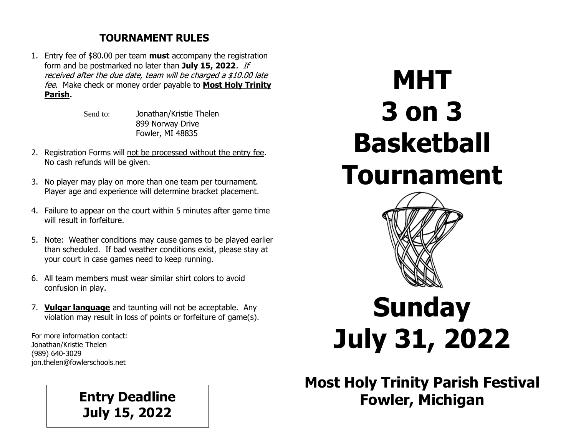## **TOURNAMENT RULES**

1. Entry fee of \$80.00 per team **must** accompany the registration form and be postmarked no later than **July 15, 2022**. If received after the due date, team will be charged a \$10.00 late fee. Make check or money order payable to **Most Holy Trinity Parish.**

> Send to: Jonathan/Kristie Thelen 899 Norway Drive Fowler, MI 48835

- 2. Registration Forms will not be processed without the entry fee. No cash refunds will be given.
- 3. No player may play on more than one team per tournament. Player age and experience will determine bracket placement.
- 4. Failure to appear on the court within 5 minutes after game time will result in forfeiture.
- 5. Note: Weather conditions may cause games to be played earlier than scheduled. If bad weather conditions exist, please stay at your court in case games need to keep running.
- 6. All team members must wear similar shirt colors to avoid confusion in play.
- 7. **Vulgar language** and taunting will not be acceptable. Any violation may result in loss of points or forfeiture of game(s).

For more information contact: Jonathan/Kristie Thelen (989) 640-3029 jon.thelen@fowlerschools.net

**July 15, 2022**

## **MHT 3 on 3 Basketball Tournament**



## **Sunday July 31, 2022**

**Most Holy Trinity Parish Festival** Entry Deadline **Fowler, Michigan**